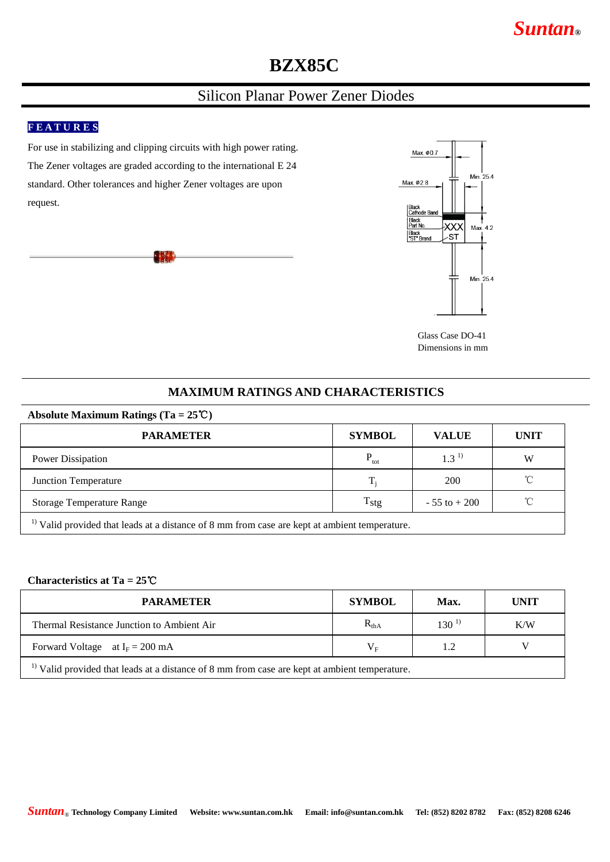# **BZX85C**

### Silicon Planar Power Zener Diodes

#### **F E A T U R E S**

For use in stabilizing and clipping circuits with high power rating. The Zener voltages are graded according to the international E 24 standard. Other tolerances and higher Zener voltages are upon request.





Glass Case DO-41 Dimensions in mm

#### **MAXIMUM RATINGS AND CHARACTERISTICS**

#### **Absolute Maximum Ratings (Ta = 25**℃**)**

| <b>PARAMETER</b>                                                                                         | <b>SYMBOL</b>    | <b>VALUE</b>     | <b>UNIT</b>  |  |  |  |
|----------------------------------------------------------------------------------------------------------|------------------|------------------|--------------|--|--|--|
| <b>Power Dissipation</b>                                                                                 | $P_{\rm tot}$    | 1.3 <sup>1</sup> | W            |  |  |  |
| Junction Temperature                                                                                     | $T_i$            | <b>200</b>       | $^{\circ}$ C |  |  |  |
| <b>Storage Temperature Range</b>                                                                         | $T_{\text{stg}}$ | $-55$ to $+200$  | $^{\circ}$ C |  |  |  |
| <sup>1)</sup> Valid provided that leads at a distance of 8 mm from case are kept at ambient temperature. |                  |                  |              |  |  |  |

#### **Characteristics at Ta = 25**℃

| <b>PARAMETER</b>                                                                                         | <b>SYMBOL</b>                  | Max.       | UNIT |  |  |  |
|----------------------------------------------------------------------------------------------------------|--------------------------------|------------|------|--|--|--|
| Thermal Resistance Junction to Ambient Air                                                               | $R_{thA}$                      | $130^{11}$ | K/W  |  |  |  |
| Forward Voltage at $I_F = 200$ mA                                                                        | $\rm V_{\scriptscriptstyle E}$ |            |      |  |  |  |
| <sup>1)</sup> Valid provided that leads at a distance of 8 mm from case are kept at ambient temperature. |                                |            |      |  |  |  |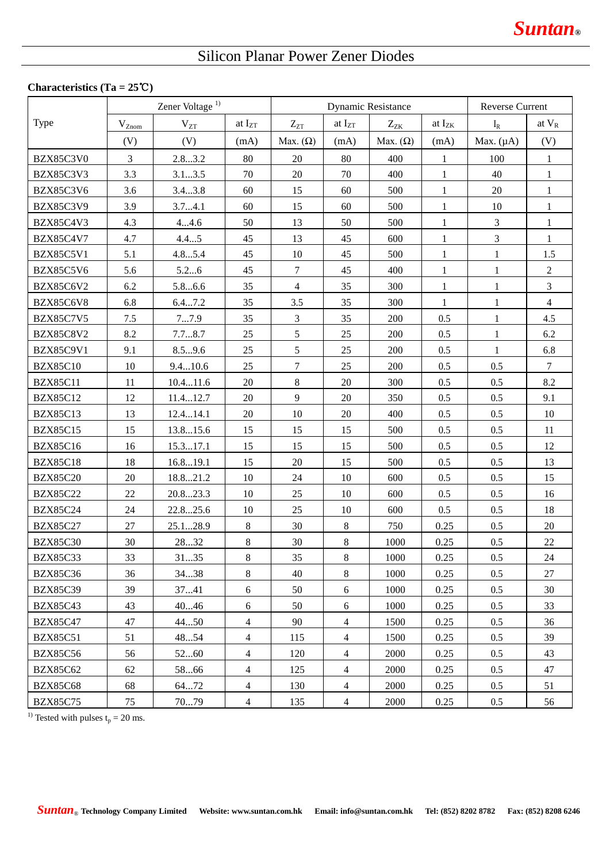## Silicon Planar Power Zener Diodes

#### **Characteristics (Ta = 25**℃**)**

|                  | Zener Voltage <sup>1)</sup> |          | <b>Dynamic Resistance</b> |                 |                | <b>Reverse Current</b> |              |                |                 |
|------------------|-----------------------------|----------|---------------------------|-----------------|----------------|------------------------|--------------|----------------|-----------------|
| Type             | $\rm V_{Znom}$              | $V_{ZT}$ | at $I_{ZT}$               | $Z_{ZT}$        | at $I_{ZT}$    | $Z_{ZK}$               | at $I_{ZK}$  | $I_R$          | at $V_R$        |
|                  | (V)                         | (V)      | (mA)                      | Max. $(\Omega)$ | (mA)           | Max. $(\Omega)$        | (mA)         | Max. $(\mu A)$ | (V)             |
| BZX85C3V0        | 3                           | 2.83.2   | 80                        | 20              | 80             | 400                    | $\mathbf{1}$ | 100            | $\mathbf{1}$    |
| <b>BZX85C3V3</b> | 3.3                         | 3.13.5   | 70                        | 20              | 70             | 400                    | $\mathbf{1}$ | 40             | $\mathbf{1}$    |
| BZX85C3V6        | 3.6                         | 3.43.8   | 60                        | 15              | 60             | 500                    | 1            | 20             | $\mathbf{1}$    |
| <b>BZX85C3V9</b> | 3.9                         | 3.74.1   | 60                        | 15              | 60             | 500                    | $\mathbf{1}$ | 10             | $\mathbf{1}$    |
| <b>BZX85C4V3</b> | 4.3                         | 44.6     | 50                        | 13              | 50             | 500                    | $\mathbf{1}$ | $\mathfrak{Z}$ | $\mathbf{1}$    |
| <b>BZX85C4V7</b> | 4.7                         | 4.45     | 45                        | 13              | 45             | 600                    | $\mathbf{1}$ | $\overline{3}$ | $\mathbf{1}$    |
| <b>BZX85C5V1</b> | 5.1                         | 4.85.4   | 45                        | 10              | 45             | 500                    | $\mathbf{1}$ | $\mathbf{1}$   | 1.5             |
| <b>BZX85C5V6</b> | 5.6                         | 5.26     | 45                        | $\overline{7}$  | 45             | 400                    | 1            | $\mathbf{1}$   | $\sqrt{2}$      |
| <b>BZX85C6V2</b> | 6.2                         | 5.86.6   | 35                        | $\overline{4}$  | 35             | 300                    | $\mathbf{1}$ | $\mathbf{1}$   | $\overline{3}$  |
| BZX85C6V8        | 6.8                         | 6.47.2   | 35                        | 3.5             | 35             | 300                    | $\mathbf{1}$ | $\mathbf{1}$   | $\overline{4}$  |
| <b>BZX85C7V5</b> | 7.5                         | 77.9     | 35                        | $\mathfrak{Z}$  | 35             | 200                    | 0.5          | $\mathbf{1}$   | 4.5             |
| <b>BZX85C8V2</b> | 8.2                         | 7.78.7   | 25                        | 5               | 25             | 200                    | 0.5          | $\mathbf{1}$   | 6.2             |
| BZX85C9V1        | 9.1                         | 8.59.6   | 25                        | $5\overline{)}$ | 25             | 200                    | 0.5          | 1              | 6.8             |
| <b>BZX85C10</b>  | 10                          | 9.410.6  | 25                        | 7               | 25             | 200                    | 0.5          | 0.5            | $7\phantom{.0}$ |
| <b>BZX85C11</b>  | 11                          | 10.411.6 | 20                        | $\,8\,$         | 20             | 300                    | 0.5          | 0.5            | 8.2             |
| <b>BZX85C12</b>  | 12                          | 11.412.7 | 20                        | 9               | 20             | 350                    | 0.5          | 0.5            | 9.1             |
| <b>BZX85C13</b>  | 13                          | 12.414.1 | 20                        | 10              | 20             | 400                    | 0.5          | 0.5            | 10              |
| <b>BZX85C15</b>  | 15                          | 13.815.6 | 15                        | 15              | 15             | 500                    | 0.5          | 0.5            | 11              |
| <b>BZX85C16</b>  | 16                          | 15.317.1 | 15                        | 15              | 15             | 500                    | 0.5          | 0.5            | 12              |
| <b>BZX85C18</b>  | 18                          | 16.819.1 | 15                        | 20              | 15             | 500                    | 0.5          | 0.5            | 13              |
| <b>BZX85C20</b>  | 20                          | 18.821.2 | 10                        | 24              | 10             | 600                    | 0.5          | 0.5            | 15              |
| <b>BZX85C22</b>  | 22                          | 20.823.3 | 10                        | 25              | 10             | 600                    | 0.5          | 0.5            | 16              |
| <b>BZX85C24</b>  | 24                          | 22.825.6 | 10                        | 25              | 10             | 600                    | 0.5          | 0.5            | 18              |
| <b>BZX85C27</b>  | 27                          | 25.128.9 | 8                         | 30              | $\,8\,$        | 750                    | 0.25         | 0.5            | 20              |
| <b>BZX85C30</b>  | 30                          | 2832     | $\,8\,$                   | 30              | $\,8\,$        | 1000                   | 0.25         | 0.5            | 22              |
| <b>BZX85C33</b>  | 33                          | 3135     | 8                         | 35              | 8              | 1000                   | 0.25         | 0.5            | 24              |
| <b>BZX85C36</b>  | 36                          | 3438     | 8                         | 40              | 8              | 1000                   | 0.25         | 0.5            | 27              |
| <b>BZX85C39</b>  | 39                          | 3741     | 6                         | 50              | 6              | 1000                   | 0.25         | 0.5            | 30              |
| <b>BZX85C43</b>  | 43                          | 4046     | $6\,$                     | 50              | 6              | 1000                   | 0.25         | 0.5            | 33              |
| <b>BZX85C47</b>  | 47                          | 4450     | $\overline{4}$            | 90              | $\overline{4}$ | 1500                   | 0.25         | 0.5            | 36              |
| <b>BZX85C51</b>  | 51                          | 4854     | 4                         | 115             | $\overline{4}$ | 1500                   | 0.25         | 0.5            | 39              |
| <b>BZX85C56</b>  | 56                          | 5260     | $\overline{4}$            | 120             | $\overline{4}$ | 2000                   | 0.25         | 0.5            | 43              |
| <b>BZX85C62</b>  | 62                          | 5866     | $\overline{4}$            | 125             | $\overline{4}$ | 2000                   | 0.25         | $0.5\,$        | 47              |
| <b>BZX85C68</b>  | 68                          | 6472     | $\overline{4}$            | 130             | $\overline{4}$ | 2000                   | 0.25         | 0.5            | 51              |
| <b>BZX85C75</b>  | 75                          | 7079     | $\overline{4}$            | 135             | $\overline{4}$ | 2000                   | 0.25         | $0.5\,$        | 56              |

<sup>1)</sup> Tested with pulses  $t_p = 20$  ms.